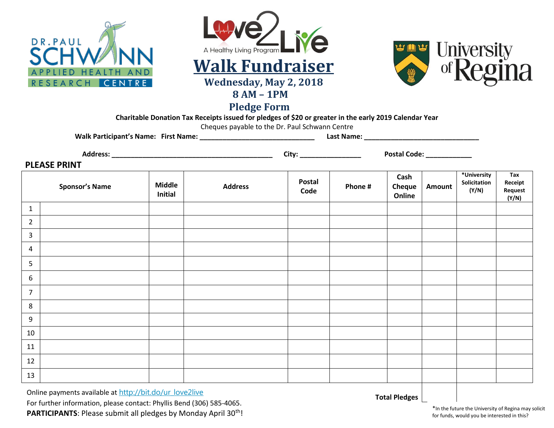





**Pledge Form**

**Charitable Donation Tax Receipts issued for pledges of \$20 or greater in the early 2019 Calendar Year**

Cheques payable to the Dr. Paul Schwann Centre

**Walk Participant's Name: First Name: \_\_\_\_\_\_\_\_\_\_\_\_\_\_\_\_\_\_\_\_\_\_\_\_\_\_\_\_\_\_ Last Name: \_\_\_\_\_\_\_\_\_\_\_\_\_\_\_\_\_\_\_\_\_\_\_\_\_\_\_\_\_\_**

**Address: \_\_\_\_\_\_\_\_\_\_\_\_\_\_\_\_\_\_\_\_\_\_\_\_\_\_\_\_\_\_\_\_\_\_\_\_\_\_\_\_\_\_ City: \_\_\_\_\_\_\_\_\_\_\_\_\_\_\_\_ Postal Code: \_\_\_\_\_\_\_\_\_\_\_\_**

**PLEASE PRINT**

|                | <b>Sponsor's Name</b> | <b>Middle</b><br><b>Initial</b> | <b>Address</b> | Postal<br>Code | Phone # | Cash<br><b>Cheque</b><br>Online | <b>Amount</b> | *University<br>Solicitation<br>(Y/N) | Tax<br>Receipt<br>Request<br>(Y/N) |
|----------------|-----------------------|---------------------------------|----------------|----------------|---------|---------------------------------|---------------|--------------------------------------|------------------------------------|
| $\mathbf{1}$   |                       |                                 |                |                |         |                                 |               |                                      |                                    |
| $\overline{2}$ |                       |                                 |                |                |         |                                 |               |                                      |                                    |
| $\overline{3}$ |                       |                                 |                |                |         |                                 |               |                                      |                                    |
| $\overline{a}$ |                       |                                 |                |                |         |                                 |               |                                      |                                    |
| 5              |                       |                                 |                |                |         |                                 |               |                                      |                                    |
| 6              |                       |                                 |                |                |         |                                 |               |                                      |                                    |
| $\overline{7}$ |                       |                                 |                |                |         |                                 |               |                                      |                                    |
| 8              |                       |                                 |                |                |         |                                 |               |                                      |                                    |
| 9              |                       |                                 |                |                |         |                                 |               |                                      |                                    |
| 10             |                       |                                 |                |                |         |                                 |               |                                      |                                    |
| 11             |                       |                                 |                |                |         |                                 |               |                                      |                                    |
| 12             |                       |                                 |                |                |         |                                 |               |                                      |                                    |
| 13             |                       |                                 |                |                |         |                                 |               |                                      |                                    |

Online payments available at [http://bit.do/ur\\_love2live](http://bit.do/ur_love2live) For further information, please contact: Phyllis Bend (306) 585-4065. PARTICIPANTS: Please submit all pledges by Monday April 30<sup>th</sup>!

**Total Pledges**